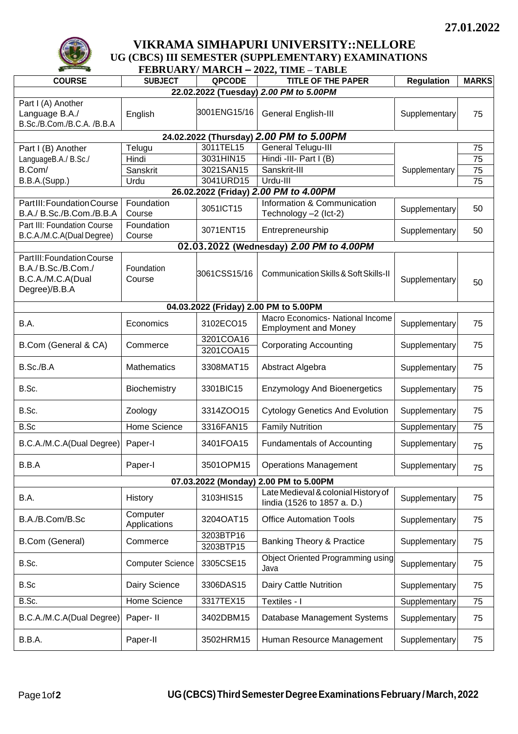

## **VIKRAMA SIMHAPURI UNIVERSITY::NELLORE UG (CBCS) III SEMESTER (SUPPLEMENTARY) EXAMINATIONS**

| FEBRUARY/MARCH – 2022, TIME – TABLE                                                    |                          |                        |                                                                    |                   |              |  |  |  |  |
|----------------------------------------------------------------------------------------|--------------------------|------------------------|--------------------------------------------------------------------|-------------------|--------------|--|--|--|--|
| <b>COURSE</b>                                                                          | <b>SUBJECT</b>           | QPCODE                 | <b>TITLE OF THE PAPER</b>                                          | <b>Regulation</b> | <b>MARKS</b> |  |  |  |  |
| 22.02.2022 (Tuesday) 2.00 PM to 5.00PM                                                 |                          |                        |                                                                    |                   |              |  |  |  |  |
| Part I (A) Another<br>Language B.A./<br>B.Sc./B.Com./B.C.A. /B.B.A                     | English                  | 3001ENG15/16           | General English-III                                                | Supplementary     | 75           |  |  |  |  |
| 24.02.2022 (Thursday) 2.00 PM to 5.00PM                                                |                          |                        |                                                                    |                   |              |  |  |  |  |
| Part I (B) Another                                                                     | Telugu                   | 3011TEL15              | <b>General Telugu-III</b>                                          |                   | 75           |  |  |  |  |
| LanguageB.A./ B.Sc./                                                                   | Hindi                    | 3031HIN15              | Hindi -III- Part I (B)                                             |                   | 75           |  |  |  |  |
| B.Com/                                                                                 | Sanskrit                 | 3021SAN15              | Sanskrit-III                                                       | Supplementary     | 75           |  |  |  |  |
| B.B.A.(Supp.)                                                                          | Urdu                     | 3041URD15              | Urdu-III                                                           |                   | 75           |  |  |  |  |
| 26.02.2022 (Friday) 2.00 PM to 4.00PM                                                  |                          |                        |                                                                    |                   |              |  |  |  |  |
| PartIII: Foundation Course                                                             | Foundation               |                        | Information & Communication                                        |                   |              |  |  |  |  |
| B.A./ B.Sc./B.Com./B.B.A                                                               | Course                   | 3051ICT15              | Technology -2 (Ict-2)                                              | Supplementary     | 50           |  |  |  |  |
| Part III: Foundation Course                                                            | Foundation               |                        |                                                                    |                   |              |  |  |  |  |
| B.C.A./M.C.A(Dual Degree)                                                              | Course                   | 3071ENT15              | Entrepreneurship                                                   | Supplementary     | 50           |  |  |  |  |
|                                                                                        |                          |                        | 02.03.2022 (Wednesday) 2.00 PM to 4.00PM                           |                   |              |  |  |  |  |
| PartIII: Foundation Course<br>B.A./B.Sc./B.Com./<br>B.C.A./M.C.A(Dual<br>Degree)/B.B.A | Foundation<br>Course     | 3061CSS15/16           | Communication Skills & Soft Skills-II                              | Supplementary     | 50           |  |  |  |  |
|                                                                                        |                          |                        | 04.03.2022 (Friday) 2.00 PM to 5.00PM                              |                   |              |  |  |  |  |
| B.A.                                                                                   | Economics                | 3102ECO15              | Macro Economics- National Income<br><b>Employment and Money</b>    | Supplementary     | 75           |  |  |  |  |
| B.Com (General & CA)                                                                   | Commerce                 | 3201COA16<br>3201COA15 | <b>Corporating Accounting</b>                                      | Supplementary     | 75           |  |  |  |  |
| B.Sc./B.A                                                                              | Mathematics              | 3308MAT15              | Abstract Algebra                                                   | Supplementary     | 75           |  |  |  |  |
| B.Sc.                                                                                  | Biochemistry             | 3301BIC15              | <b>Enzymology And Bioenergetics</b>                                | Supplementary     | 75           |  |  |  |  |
| B.Sc.                                                                                  | Zoology                  | 3314ZOO15              | <b>Cytology Genetics And Evolution</b>                             | Supplementary     | 75           |  |  |  |  |
| B.Sc                                                                                   | Home Science             | 3316FAN15              | <b>Family Nutrition</b>                                            | Supplementary     | 75           |  |  |  |  |
| B.C.A./M.C.A(Dual Degree)                                                              | Paper-I                  | 3401FOA15              | <b>Fundamentals of Accounting</b>                                  | Supplementary     | 75           |  |  |  |  |
| B.B.A                                                                                  | Paper-I                  | 3501OPM15              | <b>Operations Management</b>                                       | Supplementary     | 75           |  |  |  |  |
| 07.03.2022 (Monday) 2.00 PM to 5.00PM                                                  |                          |                        |                                                                    |                   |              |  |  |  |  |
| B.A.                                                                                   | <b>History</b>           | 3103HIS15              | Late Medieval & colonial History of<br>lindia (1526 to 1857 a. D.) | Supplementary     | 75           |  |  |  |  |
| B.A./B.Com/B.Sc                                                                        | Computer<br>Applications | 3204OAT15              | <b>Office Automation Tools</b>                                     | Supplementary     | 75           |  |  |  |  |
| B.Com (General)                                                                        | Commerce                 | 3203BTP16<br>3203BTP15 | <b>Banking Theory &amp; Practice</b>                               | Supplementary     | 75           |  |  |  |  |
| B.Sc.                                                                                  | <b>Computer Science</b>  | 3305CSE15              | <b>Object Oriented Programming using</b><br>Java                   | Supplementary     | 75           |  |  |  |  |
| B.Sc                                                                                   | Dairy Science            | 3306DAS15              | Dairy Cattle Nutrition                                             | Supplementary     | 75           |  |  |  |  |
| B.Sc.                                                                                  | <b>Home Science</b>      | 3317TEX15              | Textiles - I                                                       | Supplementary     | 75           |  |  |  |  |
| B.C.A./M.C.A(Dual Degree)                                                              | Paper-II                 | 3402DBM15              | Database Management Systems                                        | Supplementary     | 75           |  |  |  |  |
| B.B.A.                                                                                 | Paper-II                 | 3502HRM15              | Human Resource Management                                          | Supplementary     | 75           |  |  |  |  |